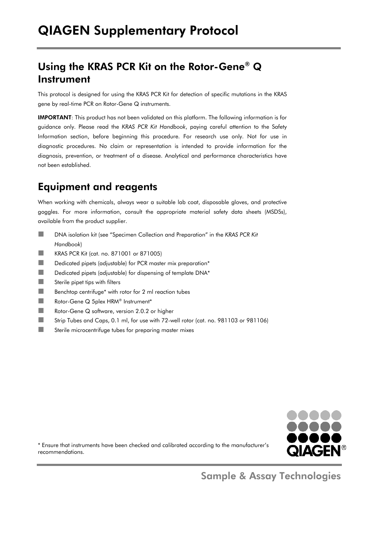# Using the KRAS PCR Kit on the Rotor-Gene® Q Instrument

This protocol is designed for using the KRAS PCR Kit for detection of specific mutations in the KRAS gene by real-time PCR on Rotor-Gene Q instruments.

IMPORTANT: This product has not been validated on this platform. The following information is for guidance only. Please read the *KRAS PCR Kit Handbook*, paying careful attention to the Safety Information section, before beginning this procedure. For research use only. Not for use in diagnostic procedures. No claim or representation is intended to provide information for the diagnosis, prevention, or treatment of a disease. Analytical and performance characteristics have not been established.

# Equipment and reagents

When working with chemicals, always wear a suitable lab coat, disposable gloves, and protective goggles. For more information, consult the appropriate material safety data sheets (MSDSs), available from the product supplier.

- ■■ DNA isolation kit (see "Specimen Collection and Preparation" in the *KRAS PCR Kit Handbook*)
- **KRAS PCR Kit (cat. no. 871001 or 871005)**
- Dedicated pipets (adjustable) for PCR master mix preparation\*
- Dedicated pipets (adjustable) for dispensing of template DNA\*
- $\Box$  Sterile pipet tips with filters
- Benchtop centrifuge\* with rotor for 2 ml reaction tubes
- Rotor-Gene Q 5plex HRM<sup>®</sup> Instrument<sup>\*</sup>
- Rotor-Gene Q software, version 2.0.2 or higher
- Strip Tubes and Caps, 0.1 ml, for use with 72-well rotor (cat. no. 981103 or 981106)
- Sterile microcentrifuge tubes for preparing master mixes



\* Ensure that instruments have been checked and calibrated according to the manufacturer's recommendations.

Sample & Assay Technologies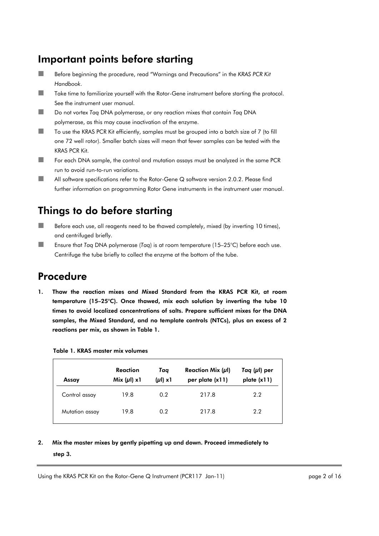## Important points before starting

- Before beginning the procedure, read "Warnings and Precautions" in the *KRAS PCR Kit Handbook*.
- Take time to familiarize yourself with the Rotor-Gene instrument before starting the protocol. See the instrument user manual.
- Do not vortex *Taq* DNA polymerase, or any reaction mixes that contain *Taq* DNA polymerase, as this may cause inactivation of the enzyme.
- ■■ To use the KRAS PCR Kit efficiently, samples must be grouped into a batch size of 7 (to fill one 72 well rotor). Smaller batch sizes will mean that fewer samples can be tested with the KRAS PCR Kit.
- For each DNA sample, the control and mutation assays must be analyzed in the same PCR run to avoid run-to-run variations.
- All software specifications refer to the Rotor-Gene Q software version 2.0.2. Please find further information on programming Rotor Gene instruments in the instrument user manual.

# Things to do before starting

- Before each use, all reagents need to be thawed completely, mixed (by inverting 10 times), and centrifuged briefly.
- Ensure that *Taq* DNA polymerase (*Taq*) is at room temperature (15–25°C) before each use. Centrifuge the tube briefly to collect the enzyme at the bottom of the tube.

## Procedure

1. Thaw the reaction mixes and Mixed Standard from the KRAS PCR Kit, at room temperature (15–25°C). Once thawed, mix each solution by inverting the tube 10 times to avoid localized concentrations of salts. Prepare sufficient mixes for the DNA samples, the Mixed Standard, and no template controls (NTCs), plus an excess of 2 reactions per mix, as shown in Table 1.

| Assay          | Reaction<br>Mix $(\mu I)$ x1 | Taq<br>$(\mu I) \times 1$ | Reaction Mix $(\mu I)$<br>per plate (x11) | Taq $(\mu I)$ per<br>plate (x11) |
|----------------|------------------------------|---------------------------|-------------------------------------------|----------------------------------|
| Control assay  | 19.8                         | 0.2                       | 217.8                                     | 2.2                              |
| Mutation assay | 19.8                         | 0.2                       | 217.8                                     | 2.2                              |

#### Table 1. KRAS master mix volumes

### 2. Mix the master mixes by gently pipetting up and down. Proceed immediately to step 3.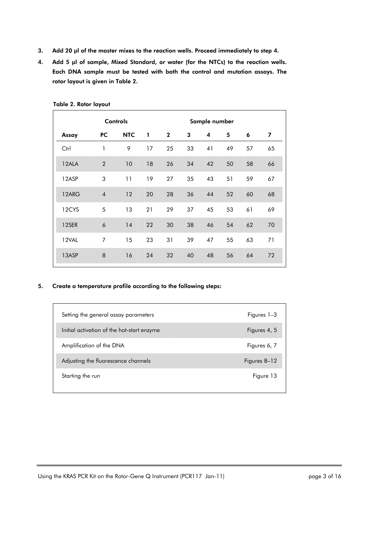- 3. Add 20 **μ**l of the master mixes to the reaction wells. Proceed immediately to step 4.
- 4. Add 5 **μ**l of sample, Mixed Standard, or water (for the NTCs) to the reaction wells. Each DNA sample must be tested with both the control and mutation assays. The rotor layout is given in Table 2.

|       |                | <b>Controls</b> |              | Sample number |    |    |    |    |    |
|-------|----------------|-----------------|--------------|---------------|----|----|----|----|----|
| Assay | PC.            | <b>NTC</b>      | $\mathbf{1}$ | $\mathbf{2}$  | 3  | 4  | 5  | 6  | 7  |
| Ctrl  | 1              | 9               | 17           | 25            | 33 | 41 | 49 | 57 | 65 |
| 12ALA | $\overline{2}$ | 10              | 18           | 26            | 34 | 42 | 50 | 58 | 66 |
| 12ASP | 3              | 11              | 19           | 27            | 35 | 43 | 51 | 59 | 67 |
| 12ARG | $\overline{4}$ | 12              | 20           | 28            | 36 | 44 | 52 | 60 | 68 |
| 12CYS | 5              | 13              | 21           | 29            | 37 | 45 | 53 | 61 | 69 |
| 12SER | 6              | 14              | 22           | 30            | 38 | 46 | 54 | 62 | 70 |
| 12VAL | $\overline{7}$ | 15              | 23           | 31            | 39 | 47 | 55 | 63 | 71 |
| 13ASP | 8              | 16              | 24           | 32            | 40 | 48 | 56 | 64 | 72 |

Table 2. Rotor layout

#### 5. Create a temperature profile according to the following steps:

| Setting the general assay parameters       | Figures 1–3  |
|--------------------------------------------|--------------|
| Initial activation of the hot-start enzyme | Figures 4, 5 |
| Amplification of the DNA                   | Figures 6, 7 |
| Adjusting the fluorescence channels        | Figures 8–12 |
| Starting the run                           | Figure 13    |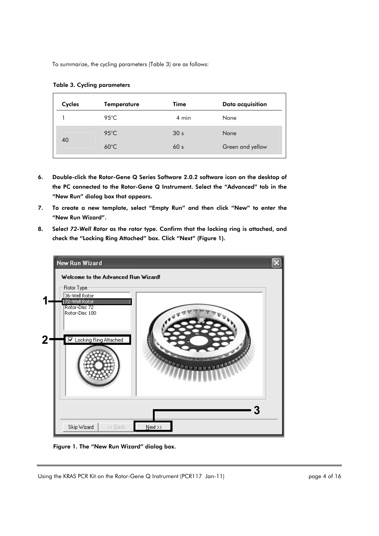To summarize, the cycling parameters (Table 3) are as follows:

| Cycles | <b>Temperature</b> | <b>Time</b>     | Data acquisition |
|--------|--------------------|-----------------|------------------|
|        | $95^{\circ}$ C     | 4 min           | None             |
|        | $95^{\circ}$ C     | 30 <sub>s</sub> | None             |
| 40     | $60^{\circ}$ C     | 60 <sub>s</sub> | Green and yellow |

|  |  | <b>Table 3. Cycling parameters</b> |
|--|--|------------------------------------|
|--|--|------------------------------------|

- 6. Double-click the Rotor-Gene Q Series Software 2.0.2 software icon on the desktop of the PC connected to the Rotor-Gene Q Instrument. Select the "Advanced" tab in the "New Run" dialog box that appears.
- 7. To create a new template, select "Empty Run" and then click "New" to enter the "New Run Wizard".
- 8. Select *72-Well Rotor* as the rotor type. Confirm that the locking ring is attached, and check the "Locking Ring Attached" box. Click "Next" (Figure 1).



Figure 1. The "New Run Wizard" dialog box.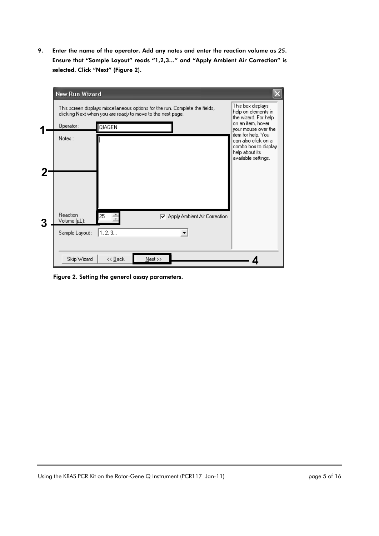9. Enter the name of the operator. Add any notes and enter the reaction volume as *25*. Ensure that "Sample Layout" reads "1,2,3…" and "Apply Ambient Air Correction" is selected. Click "Next" (Figure 2).

| New Run Wizard           |                                                                                                                                            |                                                                                       |
|--------------------------|--------------------------------------------------------------------------------------------------------------------------------------------|---------------------------------------------------------------------------------------|
|                          | This screen displays miscellaneous options for the run. Complete the fields,<br>clicking Next when you are ready to move to the next page. | This box displays<br>help on elements in<br>the wizard. For help<br>on an item, hover |
| Operator:                | QIAGEN                                                                                                                                     | vour mouse over the<br>item for help. You                                             |
| Notes:                   |                                                                                                                                            | can also click on a<br>combo box to display<br>help about its<br>available settings.  |
|                          |                                                                                                                                            |                                                                                       |
|                          |                                                                                                                                            |                                                                                       |
|                          |                                                                                                                                            |                                                                                       |
| Reaction<br>Volume (µL): | 25<br><b>▽</b> Apply Ambient Air Correction                                                                                                |                                                                                       |
| Sample Layout:           | 1, 2, 3                                                                                                                                    |                                                                                       |
|                          |                                                                                                                                            |                                                                                       |
| Skip Wizard              | $N$ ext >><br>$<<$ Back                                                                                                                    |                                                                                       |

Figure 2. Setting the general assay parameters.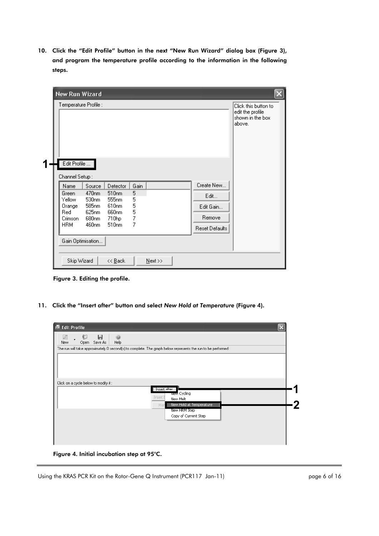10. Click the "Edit Profile" button in the next "New Run Wizard" dialog box (Figure 3), and program the temperature profile according to the information in the following steps.

| Temperature Profile :<br>Edit Profile                                               |                                                                                                           |                                                                                        |                                    |                                                             | Click this button to<br>edit the profile<br>shown in the box<br>above. |
|-------------------------------------------------------------------------------------|-----------------------------------------------------------------------------------------------------------|----------------------------------------------------------------------------------------|------------------------------------|-------------------------------------------------------------|------------------------------------------------------------------------|
| Channel Setup:<br>Name<br>Green<br>Yellow<br>Orange<br>Red<br>Crimson<br><b>HRM</b> | Source<br>470nm<br>530 <sub>nm</sub><br>585 <sub>nm</sub><br>625nm<br>680nm<br>460nm<br>Gain Optimisation | Detector<br>510 <sub>nm</sub><br>555nm<br>610nm<br>660nm<br>710hp<br>510 <sub>nm</sub> | Gain<br>5<br>5<br>5<br>5<br>7<br>7 | Create New<br>Edit<br>Edit Gain<br>Remove<br>Reset Defaults |                                                                        |

Figure 3. Editing the profile.

11. Click the "Insert after" button and select *New Hold at Temperature* (Figure 4).

| 65<br>Ы<br>D<br>0<br>Help<br>Save As<br>New<br>Open<br>The run will take approximately 0 second(s) to complete. The graph below represents the run to be performed : |  |
|----------------------------------------------------------------------------------------------------------------------------------------------------------------------|--|
|                                                                                                                                                                      |  |
|                                                                                                                                                                      |  |
|                                                                                                                                                                      |  |
|                                                                                                                                                                      |  |
| Click on a cycle below to modify it:<br>Insert after                                                                                                                 |  |
| wew Cycling<br>Insert b<br>New Melt                                                                                                                                  |  |
| New Hold at Temperature<br>Ren<br>New HRM Step                                                                                                                       |  |
| Copy of Current Step                                                                                                                                                 |  |
|                                                                                                                                                                      |  |
|                                                                                                                                                                      |  |

Figure 4. Initial incubation step at 95°C.

Using the KRAS PCR Kit on the Rotor-Gene Q Instrument (PCR117 Jan-11) page 6 of 16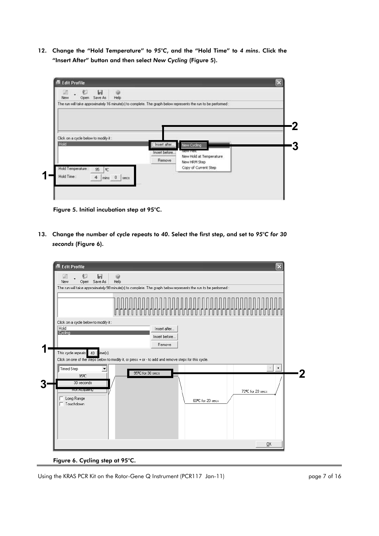12. Change the "Hold Temperature" to *95°C*, and the "Hold Time" to *4 mins*. Click the "Insert After" button and then select *New Cycling* (Figure 5).



Figure 5. Initial incubation step at 95°C.

13. Change the number of cycle repeats to *40*. Select the first step, and set to *95°C for 30 seconds* (Figure 6).



Figure 6. Cycling step at 95°C.

Using the KRAS PCR Kit on the Rotor-Gene Q Instrument (PCR117 Jan-11) example 2 of 16 page 7 of 16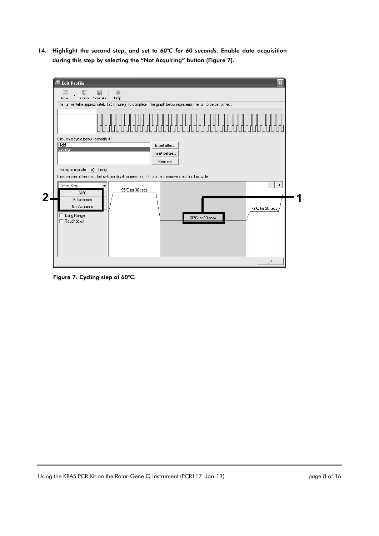14. Highlight the second step, and set to *60°C for 60 seconds*. Enable data acquisition during this step by selecting the "Not Acquiring" button (Figure 7).



Figure 7. Cycling step at 60°C.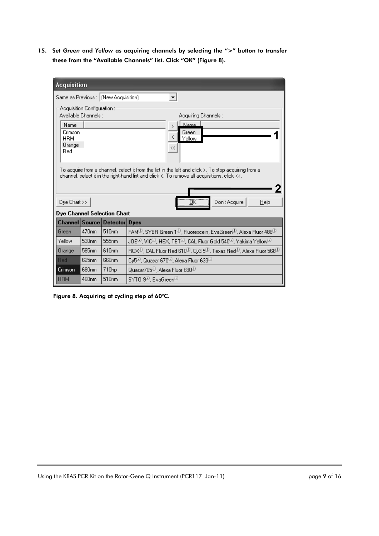15. Set *Green* and *Yellow* as acquiring channels by selecting the ">" button to transfer these from the "Available Channels" list. Click "OK" (Figure 8).

| <b>Acquisition</b>                                                     |                             |                                        |                                                                                                                                                                                                                                                                         |  |  |  |
|------------------------------------------------------------------------|-----------------------------|----------------------------------------|-------------------------------------------------------------------------------------------------------------------------------------------------------------------------------------------------------------------------------------------------------------------------|--|--|--|
|                                                                        |                             | Same as Previous :   (New Acquisition) |                                                                                                                                                                                                                                                                         |  |  |  |
| Available Channels :<br>Name<br>Crimson<br><b>HRM</b><br>Orange<br>Red | Acquisition Configuration : |                                        | Acquiring Channels:<br>Name<br>$\mathcal{P}$<br>Green<br>≺<br>Yellow<br><<                                                                                                                                                                                              |  |  |  |
| $Dve$ Chart $\gg$                                                      |                             | Dye Channel Selection Chart            | To acquire from a channel, select it from the list in the left and click >. To stop acquiring from a<br>channel, select it in the right-hand list and click $\triangleleft$ . To remove all acquisitions, click $\triangleleft\triangleleft$ .<br>Don't Acquire<br>Help |  |  |  |
|                                                                        |                             | Channel Source Detector Dyes           |                                                                                                                                                                                                                                                                         |  |  |  |
| Green                                                                  | 470 <sub>nm</sub>           | 510 <sub>nm</sub>                      | FAM <sup>O</sup> , SYBR Green 1 <sup>O</sup> , Fluorescein, EvaGreen <sup>O</sup> , Alexa Fluor 488 <sup>O</sup>                                                                                                                                                        |  |  |  |
| Yellow                                                                 | 530 <sub>nm</sub>           | 555 <sub>nm</sub>                      | $\mathsf{JOE}^\mathbb{O}, \mathsf{VIC}^\mathbb{O}$ , HEX, TET $^\mathbb{O}$ , CAL Fluor Gold $\mathsf{540}^\mathbb{O}$ , Yakima Yellow $^\mathbb{O}$                                                                                                                    |  |  |  |
| Orange                                                                 | 585 <sub>nm</sub>           | 610 <sub>nm</sub>                      | ROX <sup>O</sup> , CAL Fluor Red 610 <sup>O</sup> , Cy3.5 <sup>O</sup> , Texas Red <sup>O</sup> , Alexa Fluor 568 <sup>O</sup>                                                                                                                                          |  |  |  |
| <b>Red</b>                                                             | 625nm                       | 660nm                                  | Cy5 <sup>(3)</sup> , Quasar 670 <sup>(3)</sup> , Alexa Fluor 633 <sup>(3)</sup>                                                                                                                                                                                         |  |  |  |
| Crimson                                                                | 680 <sub>nm</sub>           | 710hp                                  | Quasar705 <sup>10</sup> , Alexa Fluor 680 <sup>10</sup>                                                                                                                                                                                                                 |  |  |  |
| <b>HRM</b>                                                             | 460nm                       | 510 <sub>nm</sub>                      | SYTO 9 <sup>0</sup> . EvaGreen <sup>O</sup>                                                                                                                                                                                                                             |  |  |  |

Figure 8. Acquiring at cycling step of 60°C.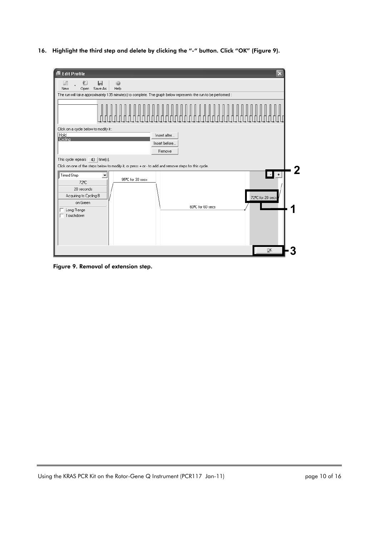16. Highlight the third step and delete by clicking the "-" button. Click "OK" (Figure 9).

| <b>Edit Profile</b><br>冦                                                                                                                                                                                       |  |
|----------------------------------------------------------------------------------------------------------------------------------------------------------------------------------------------------------------|--|
| 陷<br>Ы<br>Ø<br>ø<br>Help<br>Save As<br>Open<br>New                                                                                                                                                             |  |
| The run will take approximately 135 minute(s) to complete. The graph below represents the run to be performed :                                                                                                |  |
|                                                                                                                                                                                                                |  |
| Click on a cycle below to modify it:<br>Hold<br>Insert after<br>Cycling<br>Insert before<br>Remove                                                                                                             |  |
| This cycle repeats $40$   time(s).<br>Click on one of the steps below to modify it, or press + or - to add and remove steps for this cycle.                                                                    |  |
| H.<br>$\vert \cdot \vert$<br><b>Timed Step</b><br>95ºC for 30 secs<br>72 <sup>e</sup> C<br>20 seconds<br>Acquiring to Cycling B<br>72ºC for 20 secs<br>on Green<br>60°C for 60 secs<br>Long Range<br>Touchdown |  |
| ŌΚ                                                                                                                                                                                                             |  |

Figure 9. Removal of extension step.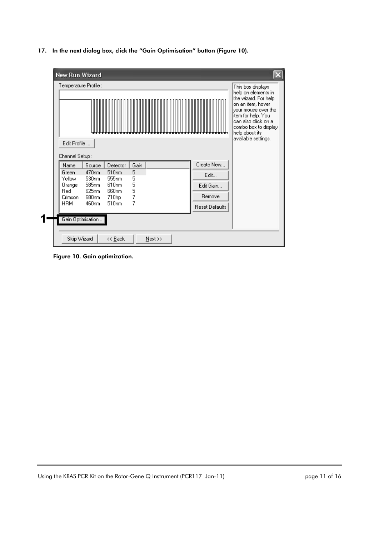17. In the next dialog box, click the "Gain Optimisation" button (Figure 10).

| Temperature Profile :<br>Edit Profile                                               |                                                                                                                       |                                                                                                                            |                                    |                                                             | This box displays<br>help on elements in<br>the wizard. For help<br>on an item, hover<br>your mouse over the<br>item for help. You<br>can also click on al<br>combo box to display<br>help about its<br>available settings. |
|-------------------------------------------------------------------------------------|-----------------------------------------------------------------------------------------------------------------------|----------------------------------------------------------------------------------------------------------------------------|------------------------------------|-------------------------------------------------------------|-----------------------------------------------------------------------------------------------------------------------------------------------------------------------------------------------------------------------------|
| Channel Setup:<br>Name<br>Green<br>Yellow<br>Orange<br>Red<br>Crimson<br><b>HRM</b> | Source<br>470 <sub>nm</sub><br>530 <sub>nm</sub><br>585 <sub>nm</sub><br>625nm<br>680nm<br>460nm<br>Gain Optimisation | Detector<br>510 <sub>nm</sub><br>555 <sub>nm</sub><br>610 <sub>nm</sub><br>660 <sub>nm</sub><br>710hp<br>510 <sub>nm</sub> | Gain<br>5<br>5<br>5<br>5<br>7<br>7 | Create New<br>Edit<br>Edit Gain<br>Remove<br>Reset Defaults |                                                                                                                                                                                                                             |

Figure 10. Gain optimization.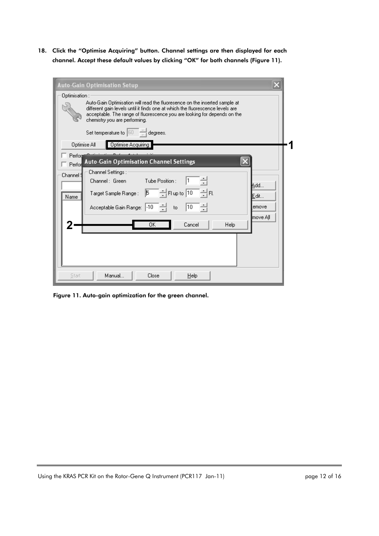18. Click the "Optimise Acquiring" button. Channel settings are then displayed for each channel. Accept these default values by clicking "OK" for both channels (Figure 11).

| <b>Auto-Gain Optimisation Setup</b>                                                                                                                                                                                                                                      |
|--------------------------------------------------------------------------------------------------------------------------------------------------------------------------------------------------------------------------------------------------------------------------|
| Optimisation :                                                                                                                                                                                                                                                           |
| Auto-Gain Optimisation will read the fluoresence on the inserted sample at<br>different gain levels until it finds one at which the fluorescence levels are<br>acceptable. The range of fluorescence you are looking for depends on the<br>chemistry you are performing. |
| Set temperature to $\begin{bmatrix} 60 & \frac{1}{\sqrt{2}} \end{bmatrix}$<br>degrees.                                                                                                                                                                                   |
| Optimise All<br>Optimise Acquiring                                                                                                                                                                                                                                       |
| Perfon                                                                                                                                                                                                                                                                   |
| <b>Auto-Gain Optimisation Channel Settings</b><br>Perfor                                                                                                                                                                                                                 |
| Channel Settings :<br>Channel 9                                                                                                                                                                                                                                          |
| Tube Position:<br>Channel: Green                                                                                                                                                                                                                                         |
| lAdd…<br>ĒЕ<br>$\Box$ $\frac{1}{\sqrt{2}}$ Fl up to $\boxed{10}$<br>$\mathbb{F}$<br>Target Sample Range :<br>Edit…<br>Name                                                                                                                                               |
| 10<br>Acceptable Gain Range: 10<br>emove<br>- 글<br>to                                                                                                                                                                                                                    |
| move All<br>OΚ<br>Cancel<br>Help                                                                                                                                                                                                                                         |
|                                                                                                                                                                                                                                                                          |
|                                                                                                                                                                                                                                                                          |
|                                                                                                                                                                                                                                                                          |
|                                                                                                                                                                                                                                                                          |
| Manual<br>Start<br>Close<br>Help                                                                                                                                                                                                                                         |

Figure 11. Auto-gain optimization for the green channel.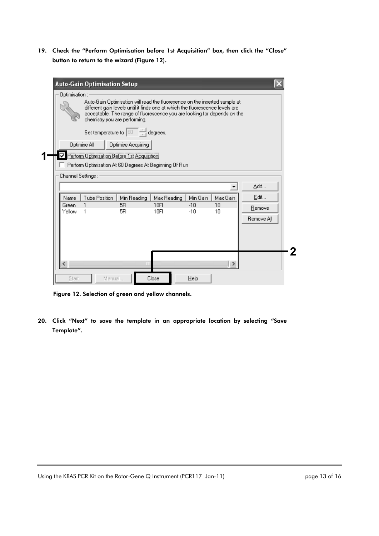19. Check the "Perform Optimisation before 1st Acquisition" box, then click the "Close" button to return to the wizard (Figure 12).

|                    | Optimisation :<br>Auto-Gain Optimisation will read the fluoresence on the inserted sample at<br>different gain levels until it finds one at which the fluorescence levels are<br>acceptable. The range of fluorescence you are looking for depends on the<br>chemistry you are performing.<br>Set temperature to $ 60 $<br>degrees. |                    |                                                        |          |          |            |  |  |
|--------------------|-------------------------------------------------------------------------------------------------------------------------------------------------------------------------------------------------------------------------------------------------------------------------------------------------------------------------------------|--------------------|--------------------------------------------------------|----------|----------|------------|--|--|
|                    |                                                                                                                                                                                                                                                                                                                                     |                    |                                                        |          |          |            |  |  |
|                    | Optimise All                                                                                                                                                                                                                                                                                                                        | Optimise Acquiring |                                                        |          |          |            |  |  |
| ⊽                  | Perform Optimisation Before 1st Acquisition                                                                                                                                                                                                                                                                                         |                    |                                                        |          |          |            |  |  |
|                    |                                                                                                                                                                                                                                                                                                                                     |                    | Perform Optimisation At 60 Degrees At Beginning Of Run |          |          |            |  |  |
|                    |                                                                                                                                                                                                                                                                                                                                     |                    |                                                        |          |          |            |  |  |
| Channel Settings : |                                                                                                                                                                                                                                                                                                                                     |                    |                                                        |          |          |            |  |  |
|                    |                                                                                                                                                                                                                                                                                                                                     |                    |                                                        |          |          | Add        |  |  |
| Name               | <b>Tube Position</b>                                                                                                                                                                                                                                                                                                                | Min Reading        | Max Reading                                            | Min Gain | Max Gain | Edit       |  |  |
| Green              |                                                                                                                                                                                                                                                                                                                                     | 5FI                | 10FI                                                   | $-10$    | 10       | Remove     |  |  |
| Yellow             | 1                                                                                                                                                                                                                                                                                                                                   | 5FI                | 10FI                                                   | $-10$    | 10       |            |  |  |
|                    |                                                                                                                                                                                                                                                                                                                                     |                    |                                                        |          |          | Remove All |  |  |
|                    |                                                                                                                                                                                                                                                                                                                                     |                    |                                                        |          |          |            |  |  |
|                    |                                                                                                                                                                                                                                                                                                                                     |                    |                                                        |          |          |            |  |  |
|                    |                                                                                                                                                                                                                                                                                                                                     |                    |                                                        |          |          |            |  |  |
|                    |                                                                                                                                                                                                                                                                                                                                     |                    |                                                        |          |          |            |  |  |

Figure 12. Selection of green and yellow channels.

20. Click "Next" to save the template in an appropriate location by selecting "Save Template".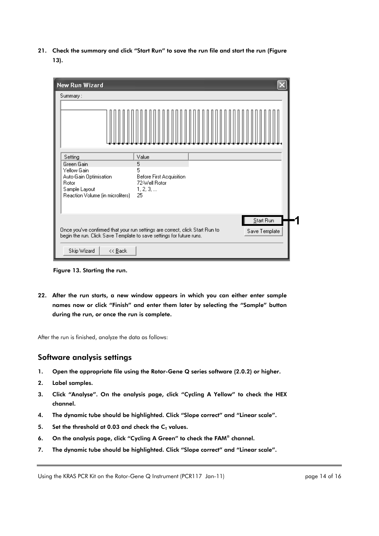21. Check the summary and click "Start Run" to save the run file and start the run (Figure 13).

| New Run Wizard                                                                                                                                                                                                 |                                                                                |  |  |  |  |  |  |  |
|----------------------------------------------------------------------------------------------------------------------------------------------------------------------------------------------------------------|--------------------------------------------------------------------------------|--|--|--|--|--|--|--|
| Summary:                                                                                                                                                                                                       |                                                                                |  |  |  |  |  |  |  |
|                                                                                                                                                                                                                |                                                                                |  |  |  |  |  |  |  |
| Setting<br>Green Gain<br>Yellow Gain<br>Auto-Gain Optimisation<br>Rotor<br>Sample Layout<br>Reaction Volume (in microliters)                                                                                   | Value<br>5<br>5<br>Before First Acquisition<br>72-Well Rotor<br>1, 2, 3,<br>25 |  |  |  |  |  |  |  |
| Start Run<br>Once you've confirmed that your run settings are correct, click Start Run to<br>Save Template<br>begin the run. Click Save Template to save settings for future runs.<br>Skip Wizard<br>$<<$ Back |                                                                                |  |  |  |  |  |  |  |

Figure 13. Starting the run.

22. After the run starts, a new window appears in which you can either enter sample names now or click "Finish" and enter them later by selecting the "Sample" button during the run, or once the run is complete.

After the run is finished, analyze the data as follows:

### Software analysis settings

- 1. Open the appropriate file using the Rotor-Gene Q series software (2.0.2) or higher.
- 2. Label samples.
- 3. Click "Analyse". On the analysis page, click "Cycling A Yellow" to check the HEX channel.
- 4. The dynamic tube should be highlighted. Click "Slope correct" and "Linear scale".
- 5. Set the threshold at 0.03 and check the  $C_T$  values.
- 6. On the analysis page, click "Cycling A Green" to check the FAM® channel.
- 7. The dynamic tube should be highlighted. Click "Slope correct" and "Linear scale".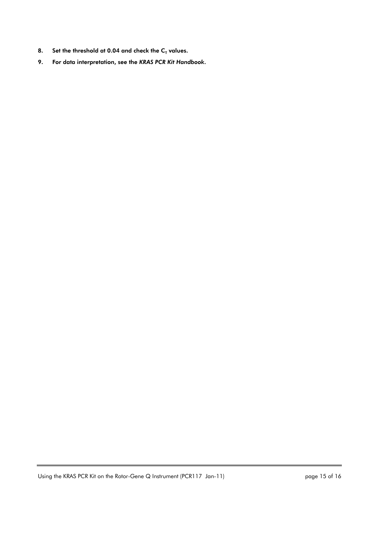- 8. Set the threshold at 0.04 and check the  $C_T$  values.
- 9. For data interpretation, see the *KRAS PCR Kit Handbook*.